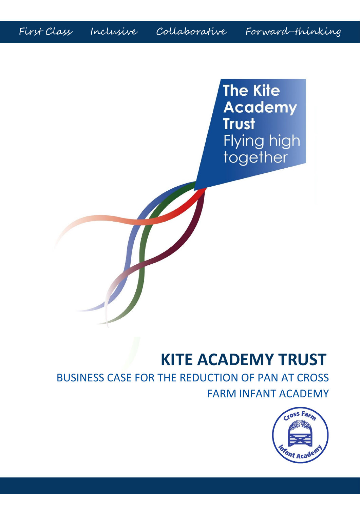First Class Inclusive Collaborative Forward-thinking

**The Kite Academy Trust** Flying high together

# **KITE ACADEMY TRUST**

BUSINESS CASE FOR THE REDUCTION OF PAN AT CROSS FARM INFANT ACADEMY

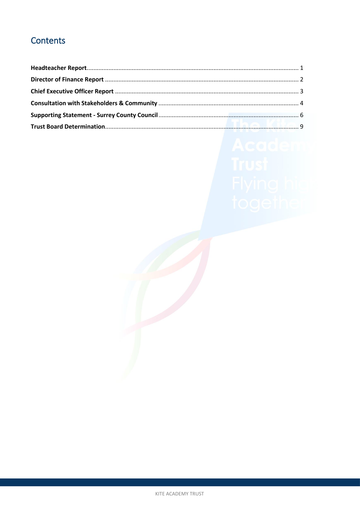# Contents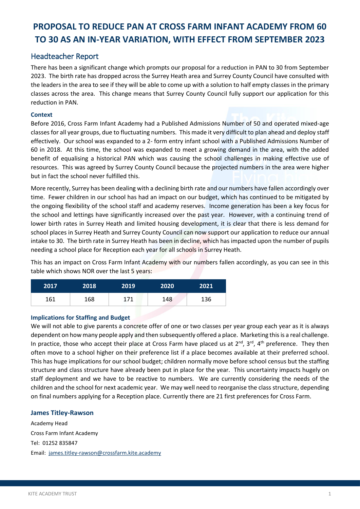# **PROPOSAL TO REDUCE PAN AT CROSS FARM INFANT ACADEMY FROM 60 TO 30 AS AN IN-YEAR VARIATION, WITH EFFECT FROM SEPTEMBER 2023**

## <span id="page-2-0"></span>Headteacher Report

There has been a significant change which prompts our proposal for a reduction in PAN to 30 from September 2023. The birth rate has dropped across the Surrey Heath area and Surrey County Council have consulted with the leaders in the area to see if they will be able to come up with a solution to half empty classes in the primary classes across the area. This change means that Surrey County Council fully support our application for this reduction in PAN.

#### **Context**

Before 2016, Cross Farm Infant Academy had a Published Admissions Number of 50 and operated mixed-age classes for all year groups, due to fluctuating numbers. This made it very difficult to plan ahead and deploy staff effectively. Our school was expanded to a 2- form entry infant school with a Published Admissions Number of 60 in 2018. At this time, the school was expanded to meet a growing demand in the area, with the added benefit of equalising a historical PAN which was causing the school challenges in making effective use of resources. This was agreed by Surrey County Council because the projected numbers in the area were higher but in fact the school never fulfilled this.

More recently, Surrey has been dealing with a declining birth rate and our numbers have fallen accordingly over time. Fewer children in our school has had an impact on our budget, which has continued to be mitigated by the ongoing flexibility of the school staff and academy reserves. Income generation has been a key focus for the school and lettings have significantly increased over the past year. However, with a continuing trend of lower birth rates in Surrey Heath and limited housing development, it is clear that there is less demand for school places in Surrey Heath and Surrey County Council can now support our application to reduce our annual intake to 30. The birth rate in Surrey Heath has been in decline, which has impacted upon the number of pupils needing a school place for Reception each year for all schools in Surrey Heath.

This has an impact on Cross Farm Infant Academy with our numbers fallen accordingly, as you can see in this table which shows NOR over the last 5 years:

| 2017 | 2018 | 2019 | 2020 | 2021 |
|------|------|------|------|------|
| 161  | 168  | 171  | 148  | 136  |

#### **Implications for Staffing and Budget**

We will not able to give parents a concrete offer of one or two classes per year group each year as it is always dependent on how many people apply and then subsequently offered a place. Marketing this is a real challenge. In practice, those who accept their place at Cross Farm have placed us at  $2^{nd}$ ,  $3^{rd}$ ,  $4^{th}$  preference. They then often move to a school higher on their preference list if a place becomes available at their preferred school. This has huge implications for our school budget; children normally move before school census but the staffing structure and class structure have already been put in place for the year. This uncertainty impacts hugely on staff deployment and we have to be reactive to numbers. We are currently considering the needs of the children and the school for next academic year. We may well need to reorganise the class structure, depending on final numbers applying for a Reception place. Currently there are 21 first preferences for Cross Farm.

#### **James Titley-Rawson**

Academy Head Cross Farm Infant Academy Tel: 01252 835847 Email: [james.titley-rawson@crossfarm.kite.academy](mailto:james.titley-rawson@crossfarm.kite.academy)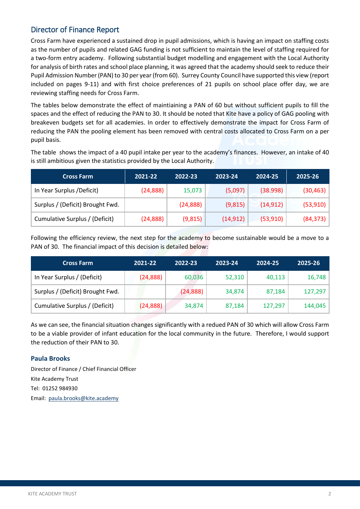# <span id="page-3-0"></span>Director of Finance Report

Cross Farm have experienced a sustained drop in pupil admissions, which is having an impact on staffing costs as the number of pupils and related GAG funding is not sufficient to maintain the level of staffing required for a two-form entry academy. Following substantial budget modelling and engagement with the Local Authority for analysis of birth rates and school place planning, it was agreed that the academy should seek to reduce their Pupil Admission Number (PAN) to 30 per year (from 60). Surrey County Council have supported this view (report included on pages 9-11) and with first choice preferences of 21 pupils on school place offer day, we are reviewing staffing needs for Cross Farm.

The tables below demonstrate the effect of maintiaining a PAN of 60 but without sufficient pupils to fill the spaces and the effect of reducing the PAN to 30. It should be noted that Kite have a policy of GAG pooling with breakeven budgets set for all academies. In order to effectively demonstrate the impact for Cross Farm of reducing the PAN the pooling element has been removed with central costs allocated to Cross Farm on a per pupil basis.

The table shows the impact of a 40 pupil intake per year to the academy's finances. However, an intake of 40 is still ambitious given the statistics provided by the Local Authority.

| <b>Cross Farm</b>                | 2021-22   | 2022-23   | 2023-24   | 2024-25   | 2025-26   |
|----------------------------------|-----------|-----------|-----------|-----------|-----------|
| In Year Surplus /Deficit)        | (24, 888) | 15,073    | (5,097)   | (38.998)  | (30, 463) |
| Surplus / (Deficit) Brought Fwd. |           | (24, 888) | (9, 815)  | (14, 912) | (53, 910) |
| Cumulative Surplus / (Deficit)   | (24, 888) | (9, 815)  | (14, 912) | (53,910)  | (84, 373) |

Following the efficiency review, the next step for the academy to become sustainable would be a move to a PAN of 30. The financial impact of this decision is detailed below:

| <b>Cross Farm</b>                | 2021-22   | 2022-23   | 2023-24 | 2024-25 | 2025-26 |
|----------------------------------|-----------|-----------|---------|---------|---------|
| In Year Surplus / (Deficit)      | (24, 888) | 60,036    | 52,310  | 40,113  | 16,748  |
| Surplus / (Deficit) Brought Fwd. |           | (24, 888) | 34,874  | 87,184  | 127,297 |
| Cumulative Surplus / (Deficit)   | (24, 888) | 34,874    | 87,184  | 127,297 | 144,045 |

As we can see, the financial situation changes significantly with a redued PAN of 30 which will allow Cross Farm to be a viable provider of infant education for the local community in the future. Therefore, I would support the reduction of their PAN to 30.

### **Paula Brooks**

Director of Finance / Chief Financial Officer Kite Academy Trust Tel: 01252 984930 Email: [paula.brooks@kite.academy](mailto:paula.brooks@kite.academy)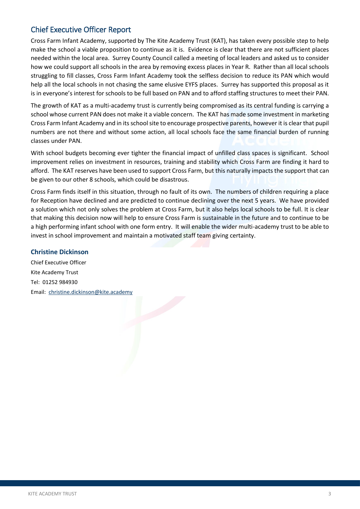## <span id="page-4-0"></span>Chief Executive Officer Report

Cross Farm Infant Academy, supported by The Kite Academy Trust (KAT), has taken every possible step to help make the school a viable proposition to continue as it is. Evidence is clear that there are not sufficient places needed within the local area. Surrey County Council called a meeting of local leaders and asked us to consider how we could support all schools in the area by removing excess places in Year R. Rather than all local schools struggling to fill classes, Cross Farm Infant Academy took the selfless decision to reduce its PAN which would help all the local schools in not chasing the same elusive EYFS places. Surrey has supported this proposal as it is in everyone's interest for schools to be full based on PAN and to afford staffing structures to meet their PAN.

The growth of KAT as a multi-academy trust is currently being compromised as its central funding is carrying a school whose current PAN does not make it a viable concern. The KAT has made some investment in marketing Cross Farm Infant Academy and in its school site to encourage prospective parents, however it is clear that pupil numbers are not there and without some action, all local schools face the same financial burden of running classes under PAN.

With school budgets becoming ever tighter the financial impact of unfilled class spaces is significant. School improvement relies on investment in resources, training and stability which Cross Farm are finding it hard to afford. The KAT reserves have been used to support Cross Farm, but this naturally impacts the support that can be given to our other 8 schools, which could be disastrous.

Cross Farm finds itself in this situation, through no fault of its own. The numbers of children requiring a place for Reception have declined and are predicted to continue declining over the next 5 years. We have provided a solution which not only solves the problem at Cross Farm, but it also helps local schools to be full. It is clear that making this decision now will help to ensure Cross Farm is sustainable in the future and to continue to be a high performing infant school with one form entry. It will enable the wider multi-academy trust to be able to invest in school improvement and maintain a motivated staff team giving certainty.

### **Christine Dickinson**

Chief Executive Officer Kite Academy Trust Tel: 01252 984930 Email: [christine.dickinson@kite.academy](mailto:christine.dickinson@kite.academy)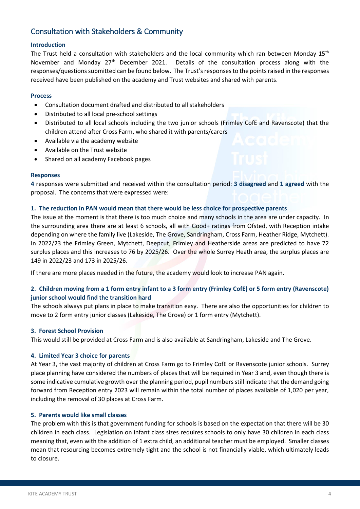# <span id="page-5-0"></span>Consultation with Stakeholders & Community

#### **Introduction**

The Trust held a consultation with stakeholders and the local community which ran between Monday  $15<sup>th</sup>$ November and Monday 27<sup>th</sup> December 2021. Details of the consultation process along with the responses/questions submitted can be found below. The Trust's responses to the points raised in the responses received have been published on the academy and Trust websites and shared with parents.

#### **Process**

- Consultation document drafted and distributed to all stakeholders
- Distributed to all local pre-school settings
- Distributed to all local schools including the two junior schools (Frimley CofE and Ravenscote) that the children attend after Cross Farm, who shared it with parents/carers
- Available via the academy website
- Available on the Trust website
- Shared on all academy Facebook pages

#### **Responses**

**4** responses were submitted and received within the consultation period: **3 disagreed** and **1 agreed** with the proposal. The concerns that were expressed were:

#### **1. The reduction in PAN would mean that there would be less choice for prospective parents**

The issue at the moment is that there is too much choice and many schools in the area are under capacity. In the surrounding area there are at least 6 schools, all with Good+ ratings from Ofsted, with Reception intake depending on where the family live (Lakeside, The Grove, Sandringham, Cross Farm, Heather Ridge, Mytchett). In 2022/23 the Frimley Green, Mytchett, Deepcut, Frimley and Heatherside areas are predicted to have 72 surplus places and this increases to 76 by 2025/26. Over the whole Surrey Heath area, the surplus places are 149 in 2022/23 and 173 in 2025/26.

If there are more places needed in the future, the academy would look to increase PAN again.

### **2. Children moving from a 1 form entry infant to a 3 form entry (Frimley CofE) or 5 form entry (Ravenscote) junior school would find the transition hard**

The schools always put plans in place to make transition easy. There are also the opportunities for children to move to 2 form entry junior classes (Lakeside, The Grove) or 1 form entry (Mytchett).

#### **3. Forest School Provision**

This would still be provided at Cross Farm and is also available at Sandringham, Lakeside and The Grove.

#### **4. Limited Year 3 choice for parents**

At Year 3, the vast majority of children at Cross Farm go to Frimley CofE or Ravenscote junior schools. Surrey place planning have considered the numbers of places that will be required in Year 3 and, even though there is some indicative cumulative growth over the planning period, pupil numbers still indicate that the demand going forward from Reception entry 2023 will remain within the total number of places available of 1,020 per year, including the removal of 30 places at Cross Farm.

#### **5. Parents would like small classes**

The problem with this is that government funding for schools is based on the expectation that there will be 30 children in each class. Legislation on infant class sizes requires schools to only have 30 children in each class meaning that, even with the addition of 1 extra child, an additional teacher must be employed. Smaller classes mean that resourcing becomes extremely tight and the school is not financially viable, which ultimately leads to closure.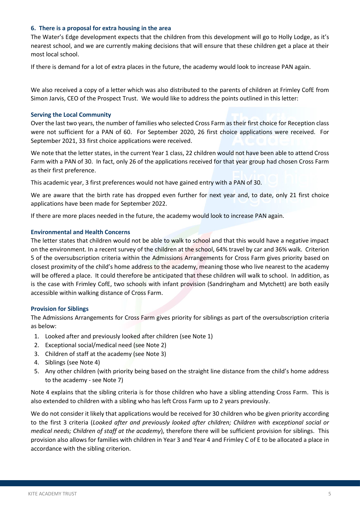#### **6. There is a proposal for extra housing in the area**

The Water's Edge development expects that the children from this development will go to Holly Lodge, as it's nearest school, and we are currently making decisions that will ensure that these children get a place at their most local school.

If there is demand for a lot of extra places in the future, the academy would look to increase PAN again.

We also received a copy of a letter which was also distributed to the parents of children at Frimley CofE from Simon Jarvis, CEO of the Prospect Trust. We would like to address the points outlined in this letter:

#### **Serving the Local Community**

Over the last two years, the number of families who selected Cross Farm as their first choice for Reception class were not sufficient for a PAN of 60. For September 2020, 26 first choice applications were received. For September 2021, 33 first choice applications were received.

We note that the letter states, in the current Year 1 class, 22 children would not have been able to attend Cross Farm with a PAN of 30. In fact, only 26 of the applications received for that year group had chosen Cross Farm as their first preference.

This academic year, 3 first preferences would not have gained entry with a PAN of 30.

We are aware that the birth rate has dropped even further for next year and, to date, only 21 first choice applications have been made for September 2022.

If there are more places needed in the future, the academy would look to increase PAN again.

#### **Environmental and Health Concerns**

The letter states that children would not be able to walk to school and that this would have a negative impact on the environment. In a recent survey of the children at the school, 64% travel by car and 36% walk. Criterion 5 of the oversubscription criteria within the Admissions Arrangements for Cross Farm gives priority based on closest proximity of the child's home address to the academy, meaning those who live nearest to the academy will be offered a place. It could therefore be anticipated that these children will walk to school. In addition, as is the case with Frimley CofE, two schools with infant provision (Sandringham and Mytchett) are both easily accessible within walking distance of Cross Farm.

#### **Provision for Siblings**

The Admissions Arrangements for Cross Farm gives priority for siblings as part of the oversubscription criteria as below:

- 1. Looked after and previously looked after children (see Note 1)
- 2. Exceptional social/medical need (see Note 2)
- 3. Children of staff at the academy (see Note 3)
- 4. Siblings (see Note 4)
- 5. Any other children (with priority being based on the straight line distance from the child's home address to the academy - see Note 7)

Note 4 explains that the sibling criteria is for those children who have a sibling attending Cross Farm. This is also extended to children with a sibling who has left Cross Farm up to 2 years previously.

We do not consider it likely that applications would be received for 30 children who be given priority according to the first 3 criteria (*Looked after and previously looked after children; Children with exceptional social or medical needs; Children of staff at the academy*), therefore there will be sufficient provision for siblings. This provision also allows for families with children in Year 3 and Year 4 and Frimley C of E to be allocated a place in accordance with the sibling criterion.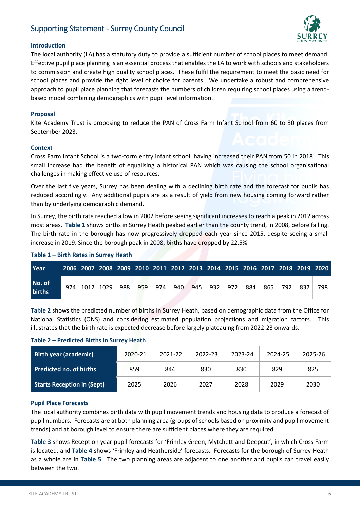# <span id="page-7-0"></span>Supporting Statement - Surrey County Council



#### **Introduction**

The local authority (LA) has a statutory duty to provide a sufficient number of school places to meet demand. Effective pupil place planning is an essential process that enables the LA to work with schools and stakeholders to commission and create high quality school places. These fulfil the requirement to meet the basic need for school places and provide the right level of choice for parents. We undertake a robust and comprehensive approach to pupil place planning that forecasts the numbers of children requiring school places using a trendbased model combining demographics with pupil level information.

#### **Proposal**

Kite Academy Trust is proposing to reduce the PAN of Cross Farm Infant School from 60 to 30 places from September 2023.

#### **Context**

Cross Farm Infant School is a two-form entry infant school, having increased their PAN from 50 in 2018. This small increase had the benefit of equalising a historical PAN which was causing the school organisational challenges in making effective use of resources.

Over the last five years, Surrey has been dealing with a declining birth rate and the forecast for pupils has reduced accordingly. Any additional pupils are as a result of yield from new housing coming forward rather than by underlying demographic demand.

In Surrey, the birth rate reached a low in 2002 before seeing significant increases to reach a peak in 2012 across most areas. **Table 1** shows births in Surrey Heath peaked earlier than the county trend, in 2008, before falling. The birth rate in the borough has now progressively dropped each year since 2015, despite seeing a small increase in 2019. Since the borough peak in 2008, births have dropped by 22.5%.

#### **Table 1 – Birth Rates in Surrey Heath**

| <b>Year</b>             |     |      |      |     |     |     |     |     |     |     |     |     | 2006 2007 2008 2009 2010 2011 2012 2013 2014 2015 2016 2017 2018 2019 2020 |     |     |
|-------------------------|-----|------|------|-----|-----|-----|-----|-----|-----|-----|-----|-----|----------------------------------------------------------------------------|-----|-----|
| No. of<br><b>births</b> | 974 | 1012 | 1029 | 988 | 959 | 974 | 940 | 945 | 932 | 972 | 884 | 865 | 792.                                                                       | 837 | 798 |

**Table 2** shows the predicted number of births in Surrey Heath, based on demographic data from the Office for National Statistics (ONS) and considering estimated population projections and migration factors. This illustrates that the birth rate is expected decrease before largely plateauing from 2022-23 onwards.

#### **Table 2 – Predicted Births in Surrey Heath**

| <b>Birth year (academic)</b>      | 2020-21 | 2021-22 | 2022-23 | 2023-24 | 2024-25 | 2025-26 |
|-----------------------------------|---------|---------|---------|---------|---------|---------|
| <b>Predicted no. of births</b>    | 859     | 844     | 830     | 830     | 829     | 825     |
| <b>Starts Reception in (Sept)</b> | 2025    | 2026    | 2027    | 2028    | 2029    | 2030    |

#### **Pupil Place Forecasts**

The local authority combines birth data with pupil movement trends and housing data to produce a forecast of pupil numbers. Forecasts are at both planning area (groups of schools based on proximity and pupil movement trends) and at borough level to ensure there are sufficient places where they are required.

**Table 3** shows Reception year pupil forecasts for 'Frimley Green, Mytchett and Deepcut', in which Cross Farm is located, and **Table 4** shows 'Frimley and Heatherside' forecasts. Forecasts for the borough of Surrey Heath as a whole are in **Table 5**. The two planning areas are adjacent to one another and pupils can travel easily between the two.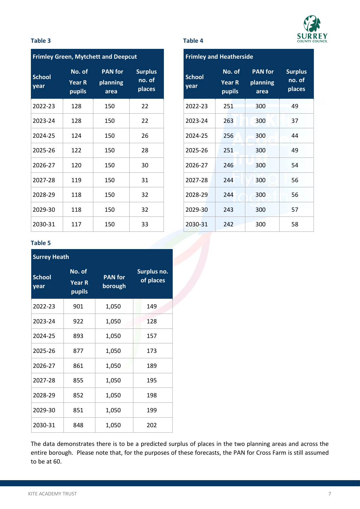

#### **Table 3 Table 4**

|                       |                                   | <b>Frimley Green, Mytchett and Deepcut</b> |                                    |                       | <b>Frimley and Heatherside</b>    |                                    |             |
|-----------------------|-----------------------------------|--------------------------------------------|------------------------------------|-----------------------|-----------------------------------|------------------------------------|-------------|
| <b>School</b><br>year | No. of<br><b>Year R</b><br>pupils | <b>PAN for</b><br>planning<br>area         | <b>Surplus</b><br>no. of<br>places | <b>School</b><br>year | No. of<br><b>Year R</b><br>pupils | <b>PAN</b> for<br>planning<br>area | <b>Surp</b> |
| 2022-23               | 128                               | 150                                        | 22                                 | 2022-23               | 251                               | 300                                |             |
| 2023-24               | 128                               | 150                                        | 22                                 | 2023-24               | 263                               | 300                                |             |
| 2024-25               | 124                               | 150                                        | 26                                 | 2024-25               | 256                               | 300                                |             |
| 2025-26               | 122                               | 150                                        | 28                                 | 2025-26               | 251                               | 300                                |             |
| 2026-27               | 120                               | 150                                        | 30                                 | 2026-27               | 246                               | 300                                |             |
| 2027-28               | 119                               | 150                                        | 31                                 | 2027-28               | 244                               | 300                                |             |
| 2028-29               | 118                               | 150                                        | 32                                 | 2028-29               | 244                               | 300                                |             |
| 2029-30               | 118                               | 150                                        | 32                                 | 2029-30               | 243                               | 300                                |             |
| 2030-31               | 117                               | 150                                        | 33                                 | 2030-31               | 242                               | 300                                |             |

| <b>Frimley and Heatherside</b> |                                   |                                    |                                    |  |  |  |  |  |
|--------------------------------|-----------------------------------|------------------------------------|------------------------------------|--|--|--|--|--|
| <b>School</b><br>year          | No. of<br><b>Year R</b><br>pupils | <b>PAN</b> for<br>planning<br>area | <b>Surplus</b><br>no. of<br>places |  |  |  |  |  |
| 2022-23                        | 251                               | 300                                | 49                                 |  |  |  |  |  |
| 2023-24                        | 263                               | 300                                | 37                                 |  |  |  |  |  |
| 2024-25                        | 256                               | 300                                | 44                                 |  |  |  |  |  |
| 2025-26                        | 251                               | 300                                | 49                                 |  |  |  |  |  |
| 2026-27                        | 246                               | 300                                | 54                                 |  |  |  |  |  |
| 2027-28                        | 244                               | 300                                | 56                                 |  |  |  |  |  |
| 2028-29                        | 244                               | 300                                | 56                                 |  |  |  |  |  |
| 2029-30                        | 243                               | 300                                | 57                                 |  |  |  |  |  |
| 2030-31                        | 242                               | 300                                | 58                                 |  |  |  |  |  |

#### **Table 5**

| <b>Surrey Heath</b>   |                                          |                           |                          |  |  |  |  |  |
|-----------------------|------------------------------------------|---------------------------|--------------------------|--|--|--|--|--|
| <b>School</b><br>year | No. of<br><b>Year R</b><br><b>pupils</b> | <b>PAN</b> for<br>borough | Surplus no.<br>of places |  |  |  |  |  |
| 2022-23               | 901                                      | 1,050                     | 149                      |  |  |  |  |  |
| 2023-24               | 922                                      | 1,050                     | 128                      |  |  |  |  |  |
| 2024-25               | 893                                      | 1,050                     | 157                      |  |  |  |  |  |
| 2025-26               | 877                                      | 1,050                     | 173                      |  |  |  |  |  |
| 2026-27               | 861                                      | 1,050                     | 189                      |  |  |  |  |  |
| 2027-28               | 855                                      | 1,050                     | 195                      |  |  |  |  |  |
| 2028-29               | 852                                      | 1,050                     | 198                      |  |  |  |  |  |
| 2029-30               | 851                                      | 1,050                     | 199                      |  |  |  |  |  |
| 2030-31               | 848                                      | 1,050                     | 202                      |  |  |  |  |  |

The data demonstrates there is to be a predicted surplus of places in the two planning areas and across the entire borough. Please note that, for the purposes of these forecasts, the PAN for Cross Farm is still assumed to be at 60.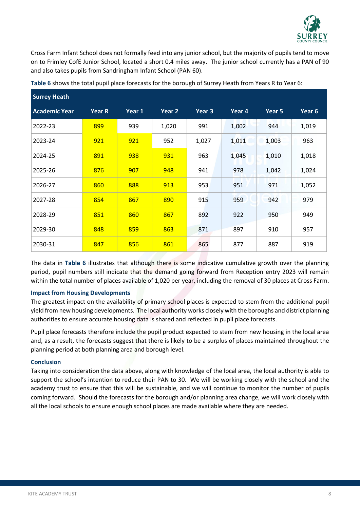

Cross Farm Infant School does not formally feed into any junior school, but the majority of pupils tend to move on to Frimley CofE Junior School, located a short 0.4 miles away. The junior school currently has a PAN of 90 and also takes pupils from Sandringham Infant School (PAN 60).

| <b>Surrey Heath</b>  |               |        |        |        |        |        |                   |
|----------------------|---------------|--------|--------|--------|--------|--------|-------------------|
| <b>Academic Year</b> | <b>Year R</b> | Year 1 | Year 2 | Year 3 | Year 4 | Year 5 | Year <sub>6</sub> |
| 2022-23              | 899           | 939    | 1,020  | 991    | 1,002  | 944    | 1,019             |
| 2023-24              | 921           | 921    | 952    | 1,027  | 1,011  | 1,003  | 963               |
| 2024-25              | 891           | 938    | 931    | 963    | 1,045  | 1,010  | 1,018             |
| 2025-26              | 876           | 907    | 948    | 941    | 978    | 1,042  | 1,024             |
| 2026-27              | 860           | 888    | 913    | 953    | 951    | 971    | 1,052             |
| 2027-28              | 854           | 867    | 890    | 915    | 959    | 942    | 979               |
| 2028-29              | 851           | 860    | 867    | 892    | 922    | 950    | 949               |
| 2029-30              | 848           | 859    | 863    | 871    | 897    | 910    | 957               |
| 2030-31              | 847           | 856    | 861    | 865    | 877    | 887    | 919               |

**Table 6** shows the total pupil place forecasts for the borough of Surrey Heath from Years R to Year 6:

The data in **Table 6** illustrates that although there is some indicative cumulative growth over the planning period, pupil numbers still indicate that the demand going forward from Reception entry 2023 will remain within the total number of places available of 1,020 per year, including the removal of 30 places at Cross Farm.

#### **Impact from Housing Developments**

The greatest impact on the availability of primary school places is expected to stem from the additional pupil yield from new housing developments. The local authority works closely with the boroughs and district planning authorities to ensure accurate housing data is shared and reflected in pupil place forecasts.

Pupil place forecasts therefore include the pupil product expected to stem from new housing in the local area and, as a result, the forecasts suggest that there is likely to be a surplus of places maintained throughout the planning period at both planning area and borough level.

#### **Conclusion**

Taking into consideration the data above, along with knowledge of the local area, the local authority is able to support the school's intention to reduce their PAN to 30. We will be working closely with the school and the academy trust to ensure that this will be sustainable, and we will continue to monitor the number of pupils coming forward. Should the forecasts for the borough and/or planning area change, we will work closely with all the local schools to ensure enough school places are made available where they are needed.